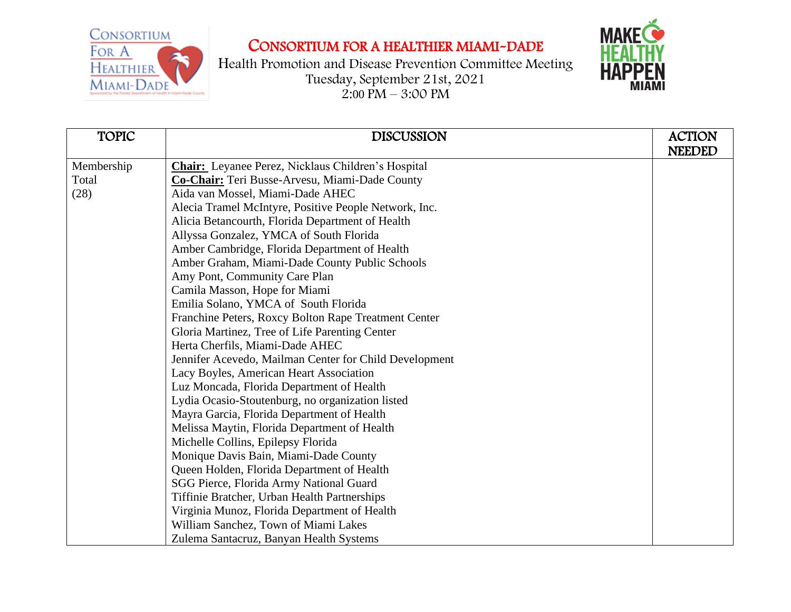

Health Promotion and Disease Prevention Committee Meeting Tuesday, September 21st, 2021  $2:00 \text{ PM} - 3:00 \text{ PM}$ 



| <b>TOPIC</b> | <b>DISCUSSION</b>                                         | <b>ACTION</b> |
|--------------|-----------------------------------------------------------|---------------|
|              |                                                           | <b>NEEDED</b> |
| Membership   | <b>Chair:</b> Leyanee Perez, Nicklaus Children's Hospital |               |
| Total        | Co-Chair: Teri Busse-Arvesu, Miami-Dade County            |               |
| (28)         | Aida van Mossel, Miami-Dade AHEC                          |               |
|              | Alecia Tramel McIntyre, Positive People Network, Inc.     |               |
|              | Alicia Betancourth, Florida Department of Health          |               |
|              | Allyssa Gonzalez, YMCA of South Florida                   |               |
|              | Amber Cambridge, Florida Department of Health             |               |
|              | Amber Graham, Miami-Dade County Public Schools            |               |
|              | Amy Pont, Community Care Plan                             |               |
|              | Camila Masson, Hope for Miami                             |               |
|              | Emilia Solano, YMCA of South Florida                      |               |
|              | Franchine Peters, Roxcy Bolton Rape Treatment Center      |               |
|              | Gloria Martinez, Tree of Life Parenting Center            |               |
|              | Herta Cherfils, Miami-Dade AHEC                           |               |
|              | Jennifer Acevedo, Mailman Center for Child Development    |               |
|              | Lacy Boyles, American Heart Association                   |               |
|              | Luz Moncada, Florida Department of Health                 |               |
|              | Lydia Ocasio-Stoutenburg, no organization listed          |               |
|              | Mayra Garcia, Florida Department of Health                |               |
|              | Melissa Maytin, Florida Department of Health              |               |
|              | Michelle Collins, Epilepsy Florida                        |               |
|              | Monique Davis Bain, Miami-Dade County                     |               |
|              | Queen Holden, Florida Department of Health                |               |
|              | SGG Pierce, Florida Army National Guard                   |               |
|              | Tiffinie Bratcher, Urban Health Partnerships              |               |
|              | Virginia Munoz, Florida Department of Health              |               |
|              | William Sanchez, Town of Miami Lakes                      |               |
|              | Zulema Santacruz, Banyan Health Systems                   |               |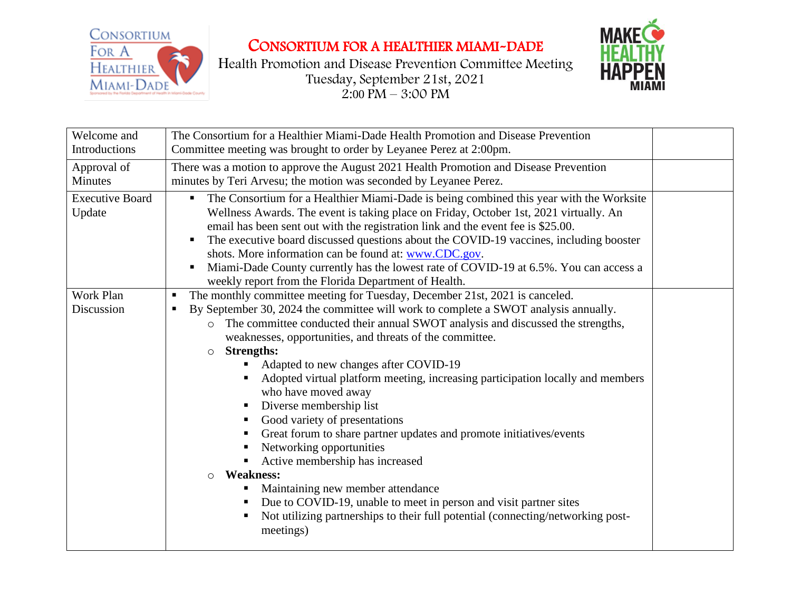

Health Promotion and Disease Prevention Committee Meeting Tuesday, September 21st, 2021  $2:00 \text{ PM} - 3:00 \text{ PM}$ 



| Welcome and<br>Introductions     | The Consortium for a Healthier Miami-Dade Health Promotion and Disease Prevention<br>Committee meeting was brought to order by Leyanee Perez at 2:00pm.                                                                                                                                                                                                                                                                                                                                                                                                                                                                                                                                                                                                                                                                                                                                                                                                                                              |  |
|----------------------------------|------------------------------------------------------------------------------------------------------------------------------------------------------------------------------------------------------------------------------------------------------------------------------------------------------------------------------------------------------------------------------------------------------------------------------------------------------------------------------------------------------------------------------------------------------------------------------------------------------------------------------------------------------------------------------------------------------------------------------------------------------------------------------------------------------------------------------------------------------------------------------------------------------------------------------------------------------------------------------------------------------|--|
| Approval of<br>Minutes           | There was a motion to approve the August 2021 Health Promotion and Disease Prevention<br>minutes by Teri Arvesu; the motion was seconded by Leyanee Perez.                                                                                                                                                                                                                                                                                                                                                                                                                                                                                                                                                                                                                                                                                                                                                                                                                                           |  |
| <b>Executive Board</b><br>Update | The Consortium for a Healthier Miami-Dade is being combined this year with the Worksite<br>Wellness Awards. The event is taking place on Friday, October 1st, 2021 virtually. An<br>email has been sent out with the registration link and the event fee is \$25.00.<br>The executive board discussed questions about the COVID-19 vaccines, including booster<br>п<br>shots. More information can be found at: www.CDC.gov.<br>Miami-Dade County currently has the lowest rate of COVID-19 at 6.5%. You can access a<br>п<br>weekly report from the Florida Department of Health.                                                                                                                                                                                                                                                                                                                                                                                                                   |  |
| Work Plan<br>Discussion          | The monthly committee meeting for Tuesday, December 21st, 2021 is canceled.<br>п<br>By September 30, 2024 the committee will work to complete a SWOT analysis annually.<br>٠<br>The committee conducted their annual SWOT analysis and discussed the strengths,<br>$\circ$<br>weaknesses, opportunities, and threats of the committee.<br><b>Strengths:</b><br>$\circ$<br>Adapted to new changes after COVID-19<br>Adopted virtual platform meeting, increasing participation locally and members<br>who have moved away<br>Diverse membership list<br>Good variety of presentations<br>п<br>Great forum to share partner updates and promote initiatives/events<br>٠<br>Networking opportunities<br>Active membership has increased<br><b>Weakness:</b><br>$\circ$<br>Maintaining new member attendance<br>Due to COVID-19, unable to meet in person and visit partner sites<br>$\blacksquare$<br>Not utilizing partnerships to their full potential (connecting/networking post-<br>п<br>meetings) |  |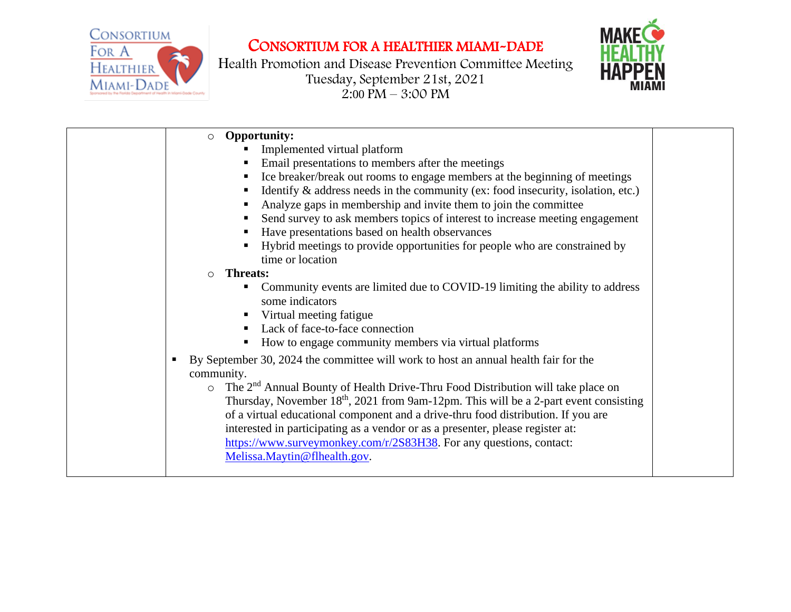

Health Promotion and Disease Prevention Committee Meeting Tuesday, September 21st, 2021  $2:00 \text{ PM} - 3:00 \text{ PM}$ 



| <b>Opportunity:</b><br>$\circ$                                                                      |  |
|-----------------------------------------------------------------------------------------------------|--|
| Implemented virtual platform                                                                        |  |
| Email presentations to members after the meetings<br>Е                                              |  |
| Ice breaker/break out rooms to engage members at the beginning of meetings                          |  |
| Identify $\&$ address needs in the community (ex: food insecurity, isolation, etc.)<br>Е            |  |
| Analyze gaps in membership and invite them to join the committee<br>в                               |  |
| Send survey to ask members topics of interest to increase meeting engagement<br>в                   |  |
| Have presentations based on health observances<br>Е                                                 |  |
| Hybrid meetings to provide opportunities for people who are constrained by<br>Е                     |  |
| time or location                                                                                    |  |
| <b>Threats:</b><br>$\circ$                                                                          |  |
| Community events are limited due to COVID-19 limiting the ability to address                        |  |
| some indicators                                                                                     |  |
| Virtual meeting fatigue<br>Е                                                                        |  |
| Lack of face-to-face connection<br>$\blacksquare$                                                   |  |
| How to engage community members via virtual platforms<br>п                                          |  |
| By September 30, 2024 the committee will work to host an annual health fair for the<br>л            |  |
| community.                                                                                          |  |
| $\circ$ The 2 <sup>nd</sup> Annual Bounty of Health Drive-Thru Food Distribution will take place on |  |
| Thursday, November $18th$ , 2021 from 9am-12pm. This will be a 2-part event consisting              |  |
| of a virtual educational component and a drive-thru food distribution. If you are                   |  |
| interested in participating as a vendor or as a presenter, please register at:                      |  |
| https://www.surveymonkey.com/r/2S83H38. For any questions, contact:                                 |  |
| Melissa.Maytin@flhealth.gov.                                                                        |  |
|                                                                                                     |  |